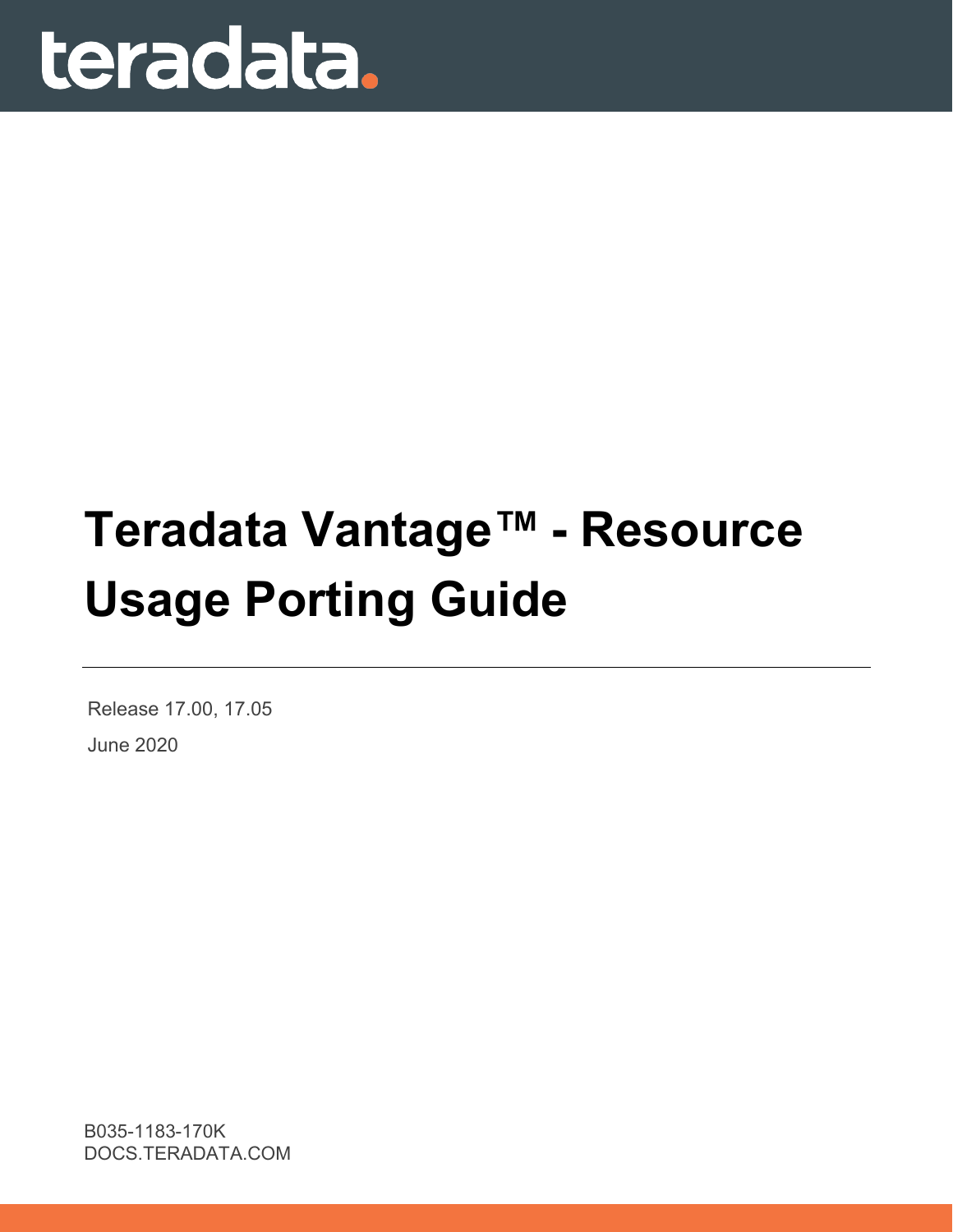

# **Teradata Vantage™ - Resource Usage Porting Guide**

Release 17.00, 17.05 June 2020

B035-1183-170K DOCS.TERADATA.COM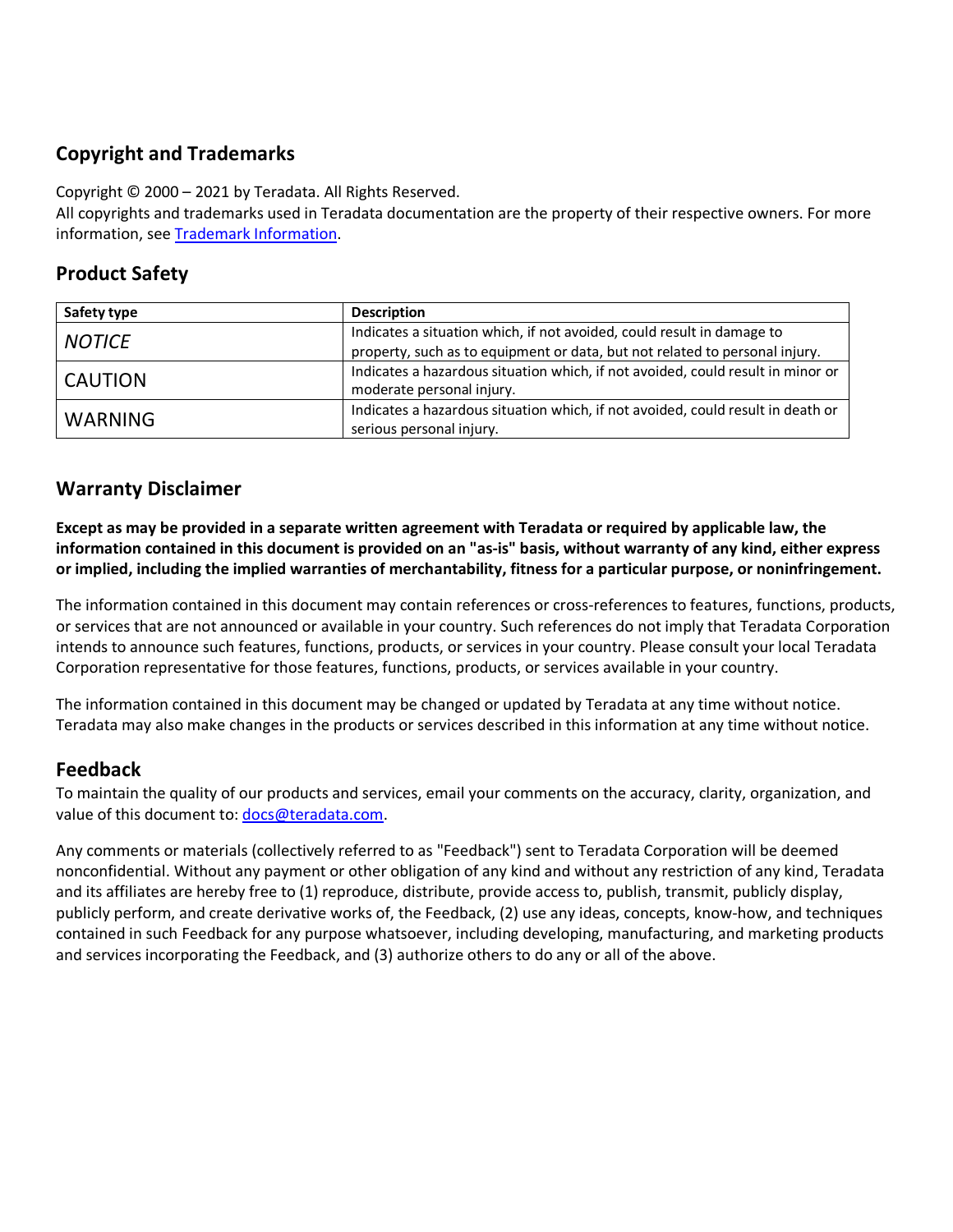#### **Copyright and Trademarks**

Copyright © 2000 – 2021 by Teradata. All Rights Reserved.

All copyrights and trademarks used in Teradata documentation are the property of their respective owners. For more information, see [Trademark Information.](https://sso.teradata.com/oam/?goto=https%3A%2F%2Finfo.teradata.com%2Fdownload.cfm%3FItemID%3D1016375)

#### **Product Safety**

| Safety type    | <b>Description</b>                                                                                                                                    |
|----------------|-------------------------------------------------------------------------------------------------------------------------------------------------------|
| <b>NOTICE</b>  | Indicates a situation which, if not avoided, could result in damage to<br>property, such as to equipment or data, but not related to personal injury. |
| <b>CAUTION</b> | Indicates a hazardous situation which, if not avoided, could result in minor or<br>moderate personal injury.                                          |
| <b>WARNING</b> | Indicates a hazardous situation which, if not avoided, could result in death or<br>serious personal injury.                                           |

#### **Warranty Disclaimer**

**Except as may be provided in a separate written agreement with Teradata or required by applicable law, the information contained in this document is provided on an "as-is" basis, without warranty of any kind, either express or implied, including the implied warranties of merchantability, fitness for a particular purpose, or noninfringement.**

The information contained in this document may contain references or cross-references to features, functions, products, or services that are not announced or available in your country. Such references do not imply that Teradata Corporation intends to announce such features, functions, products, or services in your country. Please consult your local Teradata Corporation representative for those features, functions, products, or services available in your country.

The information contained in this document may be changed or updated by Teradata at any time without notice. Teradata may also make changes in the products or services described in this information at any time without notice.

#### **Feedback**

To maintain the quality of our products and services, email your comments on the accuracy, clarity, organization, and value of this document to: docs@teradata.com.

Any comments or materials (collectively referred to as "Feedback") sent to Teradata Corporation will be deemed nonconfidential. Without any payment or other obligation of any kind and without any restriction of any kind, Teradata and its affiliates are hereby free to (1) reproduce, distribute, provide access to, publish, transmit, publicly display, publicly perform, and create derivative works of, the Feedback, (2) use any ideas, concepts, know-how, and techniques contained in such Feedback for any purpose whatsoever, including developing, manufacturing, and marketing products and services incorporating the Feedback, and (3) authorize others to do any or all of the above.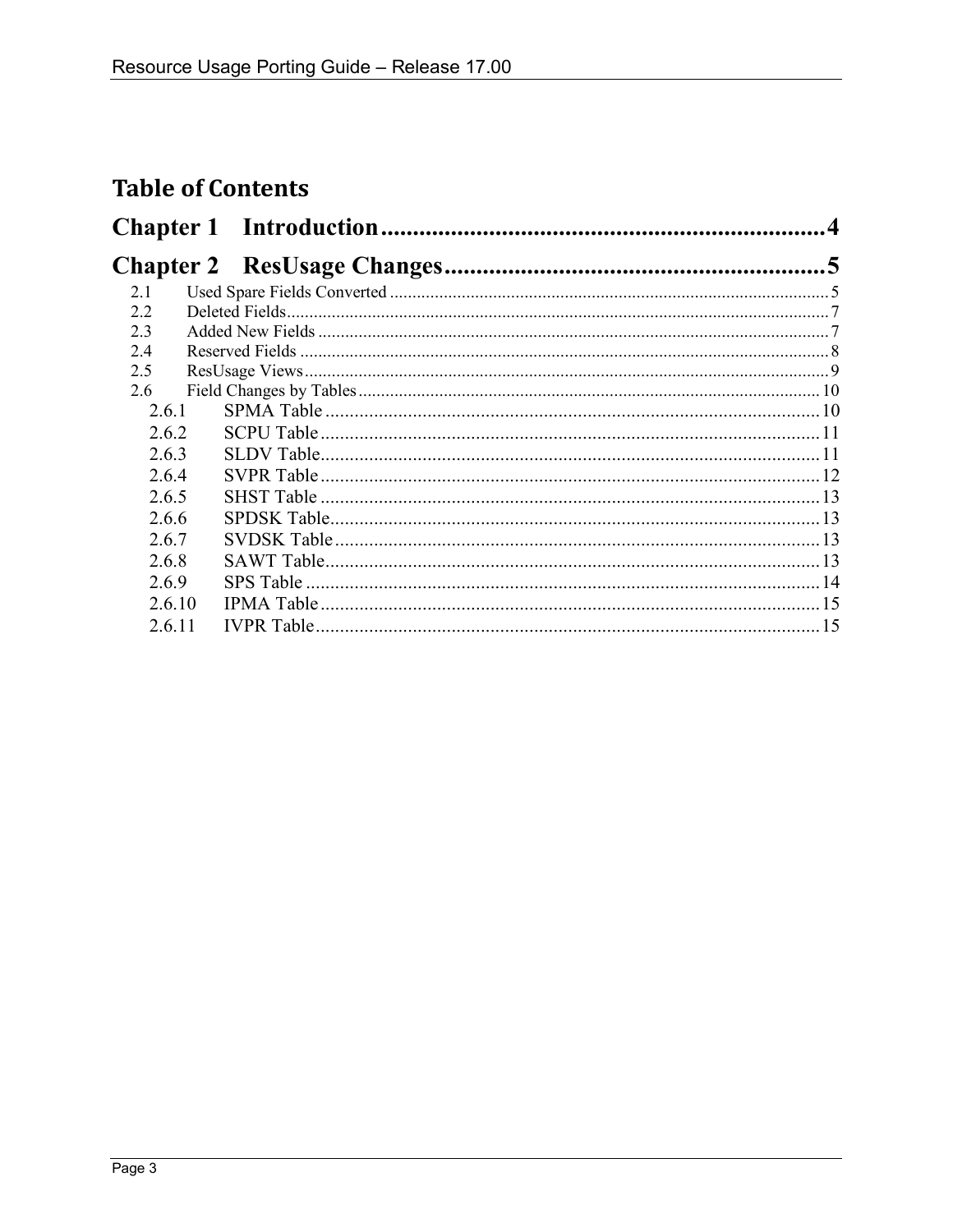### **Table of Contents**

| 2.1    |  |  |
|--------|--|--|
| 2.2    |  |  |
| 2.3    |  |  |
| 2.4    |  |  |
| 2.5    |  |  |
| 2.6    |  |  |
| 2.6.1  |  |  |
| 2.6.2  |  |  |
| 2.6.3  |  |  |
| 2.6.4  |  |  |
| 2.6.5  |  |  |
| 2.6.6  |  |  |
| 2.6.7  |  |  |
| 2.6.8  |  |  |
| 2.6.9  |  |  |
| 2.6.10 |  |  |
| 2.6.11 |  |  |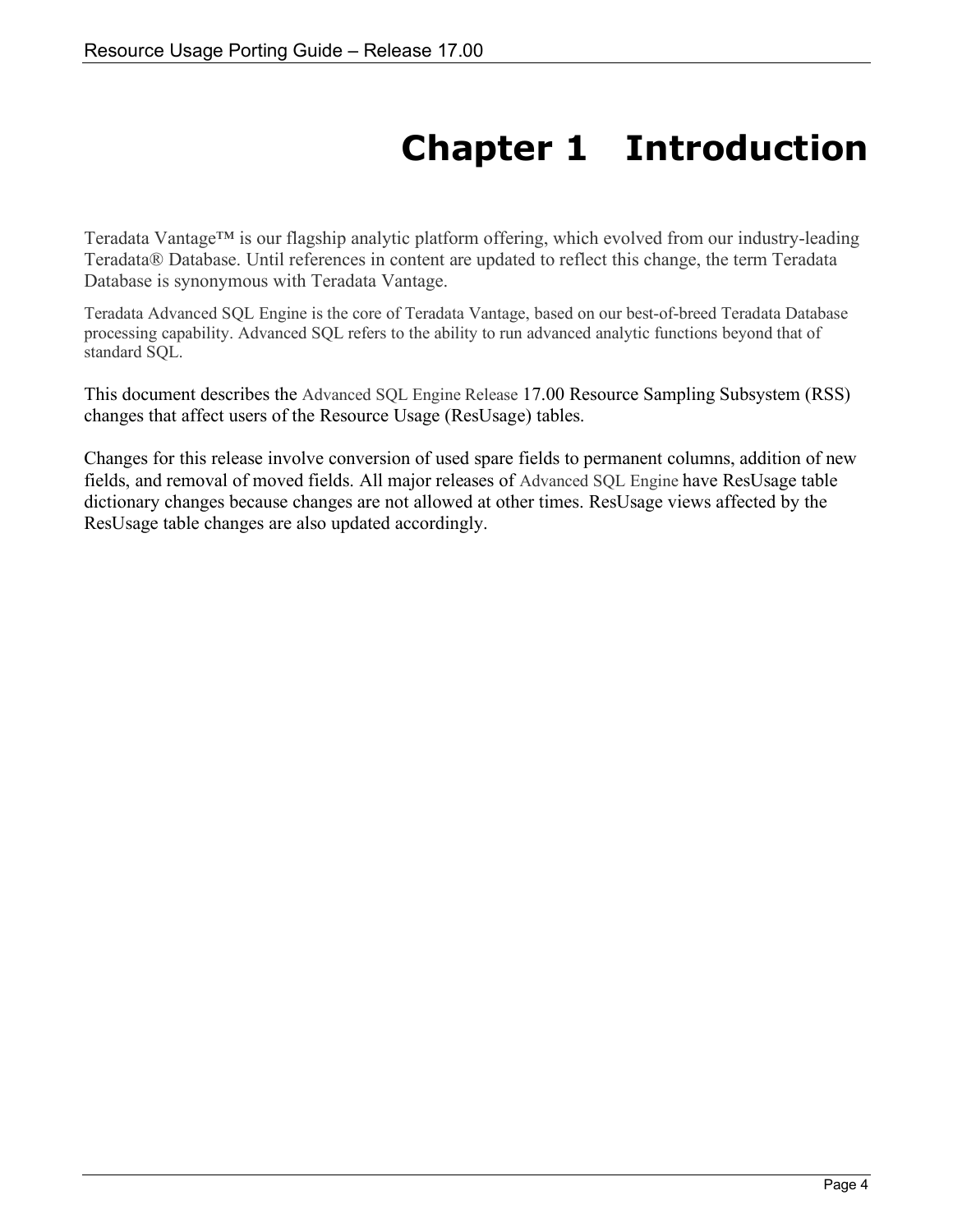# **Chapter 1 Introduction**

<span id="page-3-0"></span>Teradata Vantage™ is our flagship analytic platform offering, which evolved from our industry-leading Teradata® Database. Until references in content are updated to reflect this change, the term Teradata Database is synonymous with Teradata Vantage.

Teradata Advanced SQL Engine is the core of Teradata Vantage, based on our best-of-breed Teradata Database processing capability. Advanced SQL refers to the ability to run advanced analytic functions beyond that of standard SQL.

This document describes the Advanced SQL Engine Release 17.00 Resource Sampling Subsystem (RSS) changes that affect users of the Resource Usage (ResUsage) tables.

Changes for this release involve conversion of used spare fields to permanent columns, addition of new fields, and removal of moved fields. All major releases of Advanced SQL Engine have ResUsage table dictionary changes because changes are not allowed at other times. ResUsage views affected by the ResUsage table changes are also updated accordingly.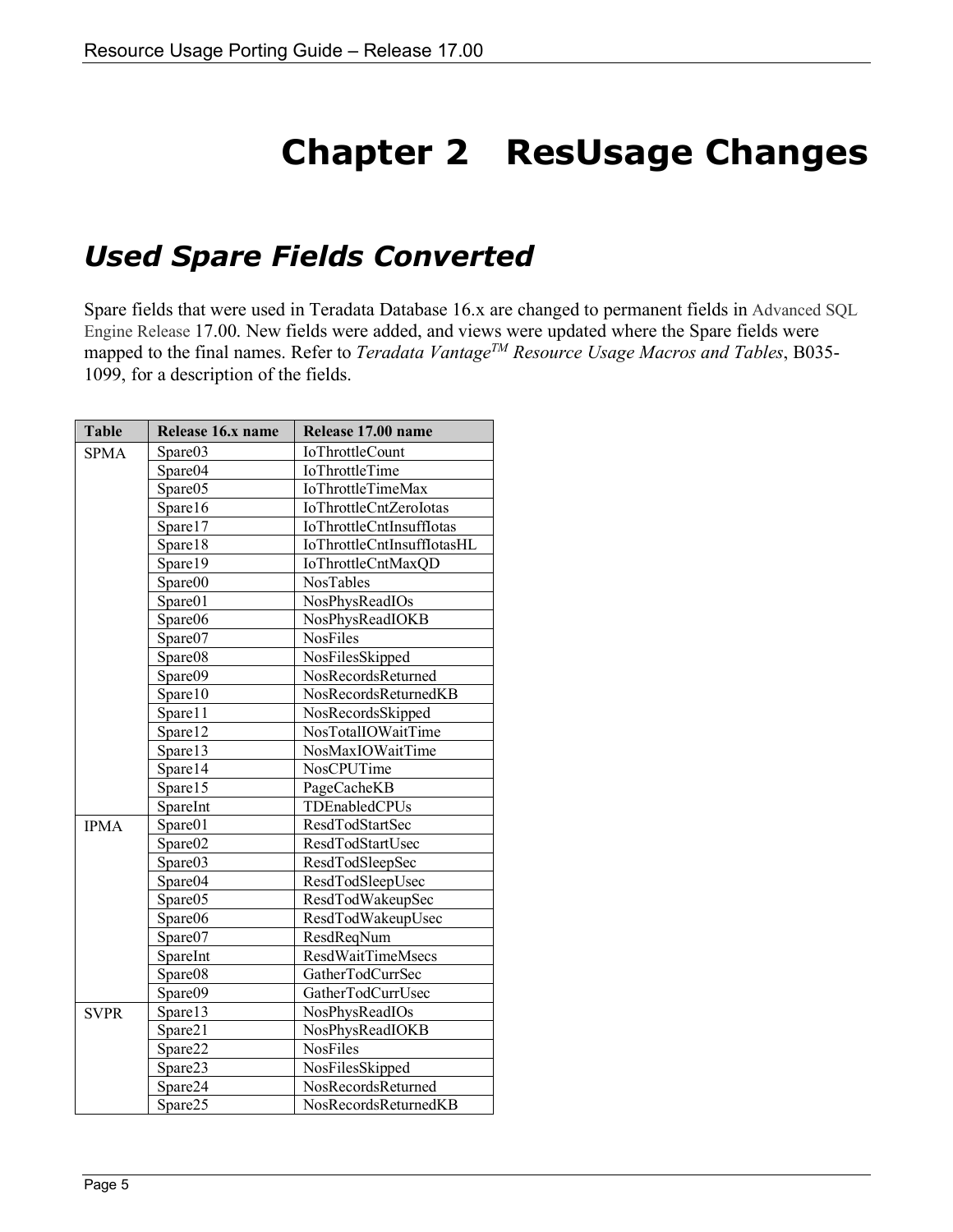# **Chapter 2 ResUsage Changes**

### <span id="page-4-1"></span><span id="page-4-0"></span>*Used Spare Fields Converted*

Spare fields that were used in Teradata Database 16.x are changed to permanent fields in Advanced SQL Engine Release 17.00. New fields were added, and views were updated where the Spare fields were mapped to the final names. Refer to *Teradata Vantage<sup>TM</sup> Resource Usage Macros and Tables*, B035-1099, for a description of the fields.

| <b>Table</b> | Release 16.x name | Release 17.00 name              |
|--------------|-------------------|---------------------------------|
| <b>SPMA</b>  | Spare03           | <b>IoThrottleCount</b>          |
|              | Spare04           | <b>IoThrottleTime</b>           |
|              | Spare05           | <b>IoThrottleTimeMax</b>        |
|              | Spare16           | IoThrottleCntZeroIotas          |
|              | Spare17           | <b>IoThrottleCntInsuffIotas</b> |
|              | Spare18           | IoThrottleCntInsuffIotasHL      |
|              | Spare19           | IoThrottleCntMaxQD              |
|              | Spare00           | <b>NosTables</b>                |
|              | Spare01           | NosPhysReadIOs                  |
|              | Spare06           | NosPhysReadIOKB                 |
|              | Spare07           | <b>NosFiles</b>                 |
|              | Spare08           | NosFilesSkipped                 |
|              | Spare09           | NosRecordsReturned              |
|              | Spare10           | NosRecordsReturnedKB            |
|              | Spare11           | NosRecordsSkipped               |
|              | Spare12           | NosTotalIOWaitTime              |
|              | Spare13           | NosMaxIOWaitTime                |
|              | Spare14           | NosCPUTime                      |
|              | Spare15           | PageCacheKB                     |
|              | SpareInt          | TDEnabledCPUs                   |
| <b>IPMA</b>  | Spare01           | ResdTodStartSec                 |
|              | Spare02           | ResdTodStartUsec                |
|              | Spare03           | ResdTodSleepSec                 |
|              | Spare04           | ResdTodSleepUsec                |
|              | Spare05           | ResdTodWakeupSec                |
|              | Spare06           | ResdTodWakeupUsec               |
|              | Spare07           | ResdReqNum                      |
|              | SpareInt          | <b>ResdWaitTimeMsecs</b>        |
|              | Spare08           | GatherTodCurrSec                |
|              | Spare09           | GatherTodCurrUsec               |
| <b>SVPR</b>  | Spare13           | NosPhysReadIOs                  |
|              | Spare21           | NosPhysReadIOKB                 |
|              | Spare22           | <b>NosFiles</b>                 |
|              | Spare23           | NosFilesSkipped                 |
|              | Spare24           | NosRecordsReturned              |
|              | Spare25           | NosRecordsReturnedKB            |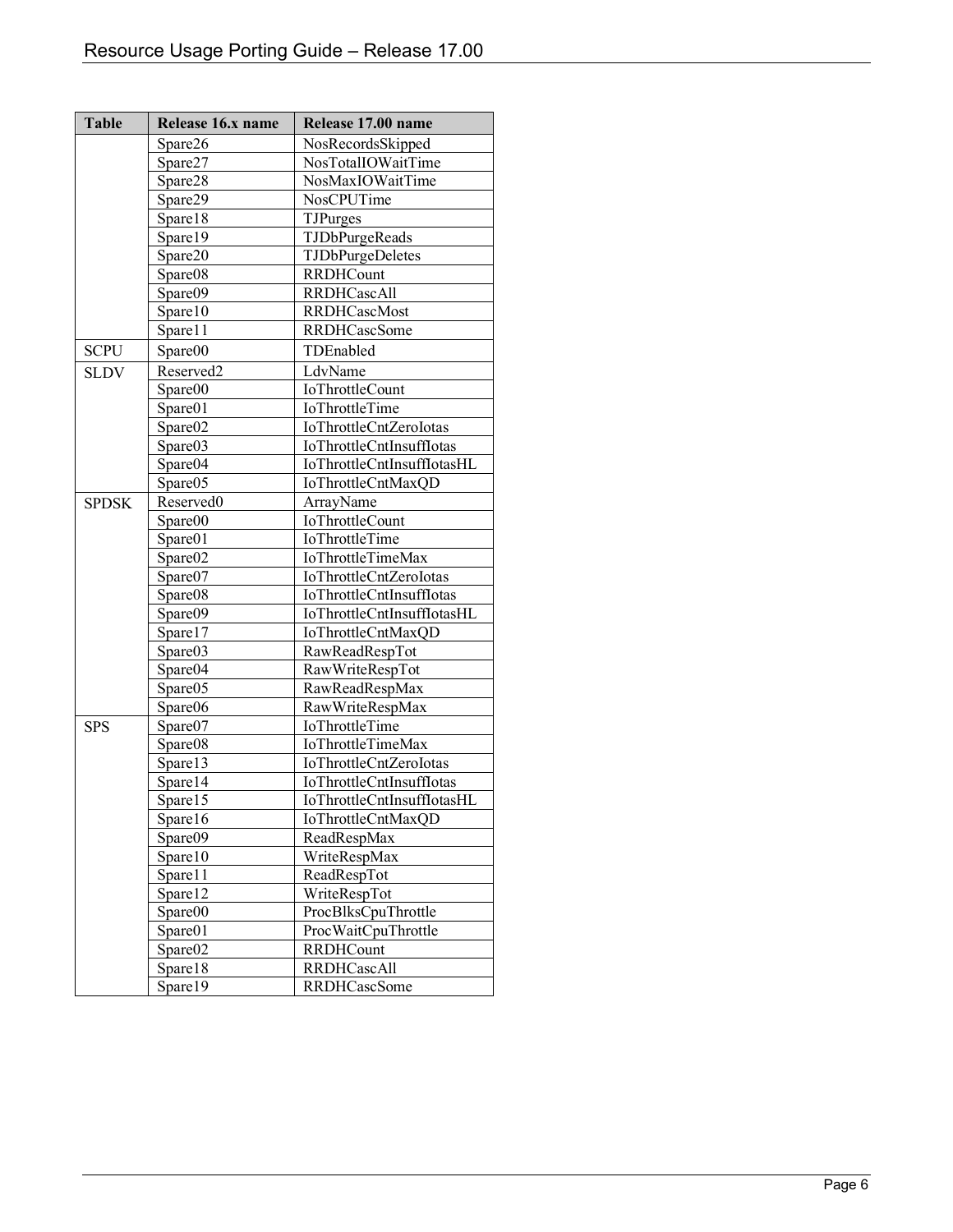| <b>Table</b> | Release 16.x name | Release 17.00 name              |
|--------------|-------------------|---------------------------------|
|              | Spare26           | NosRecordsSkipped               |
|              | Spare27           | NosTotalIOWaitTime              |
|              | Spare28           | NosMaxIOWaitTime                |
|              | Spare29           | NosCPUTime                      |
|              | Spare18           | TJPurges                        |
|              | Spare19           | TJDbPurgeReads                  |
|              | Spare20           | TJDbPurgeDeletes                |
|              | Spare08           | <b>RRDHCount</b>                |
|              | Spare09           | <b>RRDHCascAll</b>              |
|              | Spare10           | <b>RRDHCascMost</b>             |
|              | Spare11           | <b>RRDHCascSome</b>             |
| <b>SCPU</b>  | Spare00           | TDEnabled                       |
| <b>SLDV</b>  | Reserved2         | LdvName                         |
|              | Spare00           | <b>IoThrottleCount</b>          |
|              | Spare01           | IoThrottleTime                  |
|              | Spare02           | IoThrottleCntZeroIotas          |
|              | Spare03           | <b>IoThrottleCntInsuffIotas</b> |
|              | Spare04           | IoThrottleCntInsuffIotasHL      |
|              | Spare05           | IoThrottleCntMaxQD              |
| <b>SPDSK</b> | Reserved0         | ArrayName                       |
|              | Spare00           | IoThrottleCount                 |
|              | Spare01           | IoThrottleTime                  |
|              | Spare02           | <b>IoThrottleTimeMax</b>        |
|              | Spare07           | IoThrottleCntZeroIotas          |
|              | Spare08           | <b>IoThrottleCntInsuffIotas</b> |
|              | Spare09           | IoThrottleCntInsuffIotasHL      |
|              | Spare17           | IoThrottleCntMaxQD              |
|              | Spare03           | RawReadRespTot                  |
|              | Spare04           | RawWriteRespTot                 |
|              | Spare05           | RawReadRespMax                  |
|              | Spare06           | RawWriteRespMax                 |
| <b>SPS</b>   | Spare07           | IoThrottleTime                  |
|              | Spare08           | IoThrottleTimeMax               |
|              | Spare13           | IoThrottleCntZeroIotas          |
|              | Spare14           | <b>IoThrottleCntInsuffIotas</b> |
|              | Spare15           | IoThrottleCntInsuffIotasHL      |
|              | Spare16           | IoThrottleCntMaxQD              |
|              | Spare09           | ReadRespMax                     |
|              | Spare10           | WriteRespMax                    |
|              | Spare11           | ReadRespTot                     |
|              | Spare12           | WriteRespTot                    |
|              | Spare00           | ProcBlksCpuThrottle             |
|              | Spare01           | ProcWaitCpuThrottle             |
|              | Spare02           | <b>RRDHCount</b>                |
|              | Spare18           | <b>RRDHCascAll</b>              |
|              | Spare19           | <b>RRDHCascSome</b>             |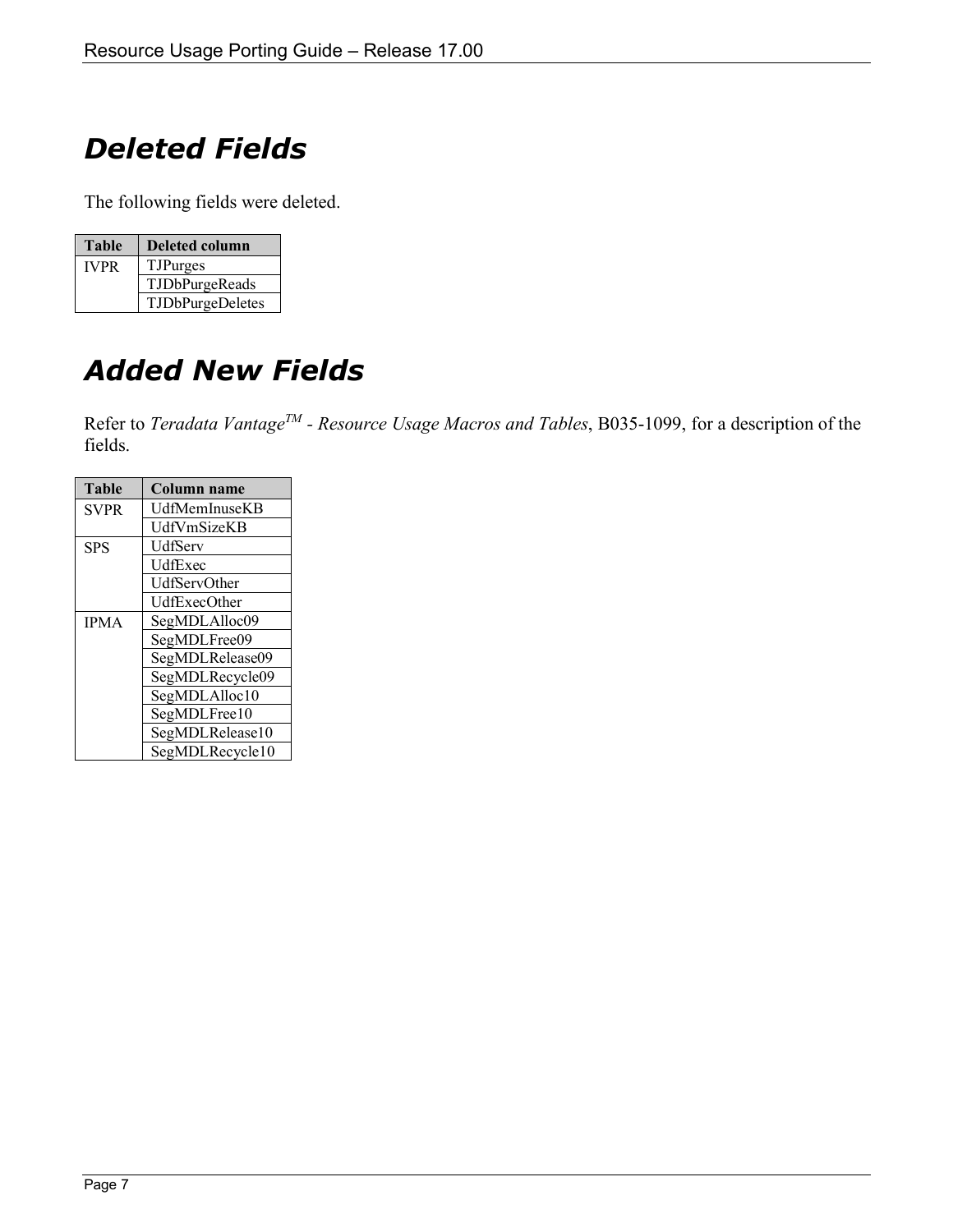# <span id="page-6-0"></span>*Deleted Fields*

The following fields were deleted.

| <b>Table</b> | Deleted column   |  |
|--------------|------------------|--|
| <b>IVPR</b>  | <b>TJPurges</b>  |  |
|              | TJDbPurgeReads   |  |
|              | TJDbPurgeDeletes |  |

# <span id="page-6-1"></span>*Added New Fields*

Refer to *Teradata Vantage<sup>TM</sup>* - *Resource Usage Macros and Tables*, B035-1099, for a description of the fields.

| <b>Table</b> | <b>Column name</b> |  |
|--------------|--------------------|--|
| <b>SVPR</b>  | UdfMemInuseKB      |  |
|              | UdfVmSizeKB        |  |
| <b>SPS</b>   | UdfServ            |  |
|              | UdfExec            |  |
|              | UdfServOther       |  |
|              | UdfExecOther       |  |
| <b>IPMA</b>  | SegMDLAlloc09      |  |
|              | SegMDLFree09       |  |
|              | SegMDLRelease09    |  |
|              | SegMDLRecycle09    |  |
|              | SegMDLAlloc10      |  |
|              | SegMDLFree10       |  |
|              | SegMDLRelease10    |  |
|              | SegMDLRecycle10    |  |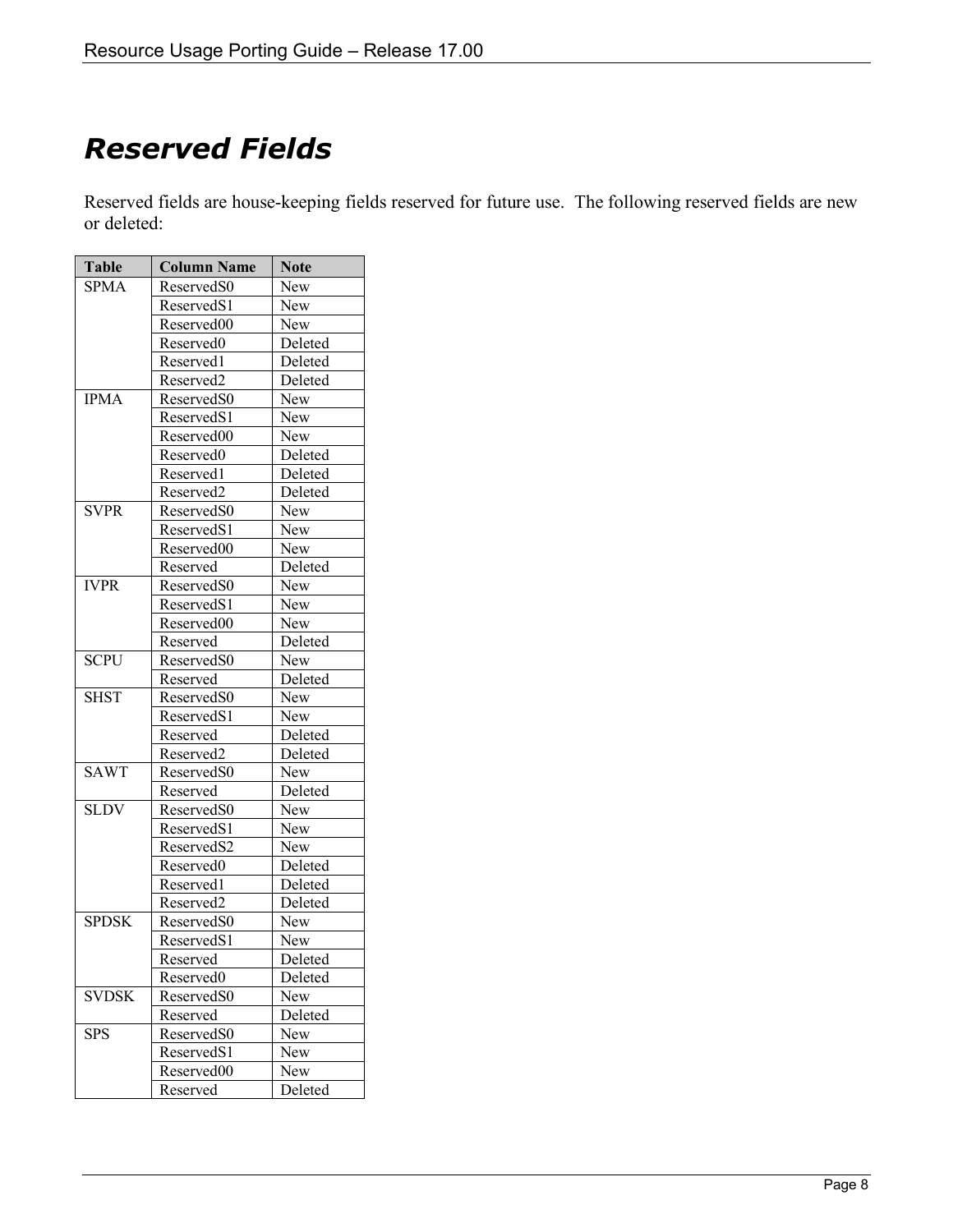# <span id="page-7-0"></span>*Reserved Fields*

Reserved fields are house-keeping fields reserved for future use. The following reserved fields are new or deleted:

| <b>Table</b> | <b>Column Name</b>     | <b>Note</b> |
|--------------|------------------------|-------------|
| <b>SPMA</b>  | Reserved <sub>S0</sub> | <b>New</b>  |
|              | ReservedS1             | <b>New</b>  |
|              | Reserved00             | <b>New</b>  |
|              | Reserved0              | Deleted     |
|              | Reserved1              | Deleted     |
|              | Reserved2              | Deleted     |
| <b>IPMA</b>  | ReservedS0             | New         |
|              | ReservedS1             | <b>New</b>  |
|              | Reserved00             | <b>New</b>  |
|              | Reserved0              | Deleted     |
|              | Reserved1              | Deleted     |
|              | Reserved2              | Deleted     |
| <b>SVPR</b>  | ReservedS0             | New         |
|              | ReservedS1             | <b>New</b>  |
|              | Reserved00             | <b>New</b>  |
|              | Reserved               | Deleted     |
| <b>IVPR</b>  | Reserved <sub>S0</sub> | <b>New</b>  |
|              | Reserved <sub>S1</sub> | <b>New</b>  |
|              | Reserved00             | <b>New</b>  |
|              | Reserved               | Deleted     |
| <b>SCPU</b>  | Reserved <sub>S0</sub> | <b>New</b>  |
|              | Reserved               | Deleted     |
| <b>SHST</b>  | Reserved <sub>S0</sub> | <b>New</b>  |
|              | ReservedS1             | <b>New</b>  |
|              | Reserved               | Deleted     |
|              | Reserved <sub>2</sub>  | Deleted     |
| <b>SAWT</b>  | Reserved <sub>S0</sub> | New         |
|              | Reserved               | Deleted     |
| <b>SLDV</b>  | Reserved <sub>S0</sub> | New         |
|              | ReservedS1             | <b>New</b>  |
|              | ReservedS2             | New         |
|              | Reserved0              | Deleted     |
|              | Reserved1              | Deleted     |
|              | Reserved2              | Deleted     |
| <b>SPDSK</b> | Reserved <sub>S0</sub> | <b>New</b>  |
|              | ReservedS1             | <b>New</b>  |
|              | Reserved               | Deleted     |
|              | Reserved0              | Deleted     |
| <b>SVDSK</b> | ReservedS0             | New         |
|              | Reserved               | Deleted     |
| <b>SPS</b>   | Reserved <sub>S0</sub> | New         |
|              | ReservedS1             | New         |
|              | Reserved00             | New         |
|              | Reserved               | Deleted     |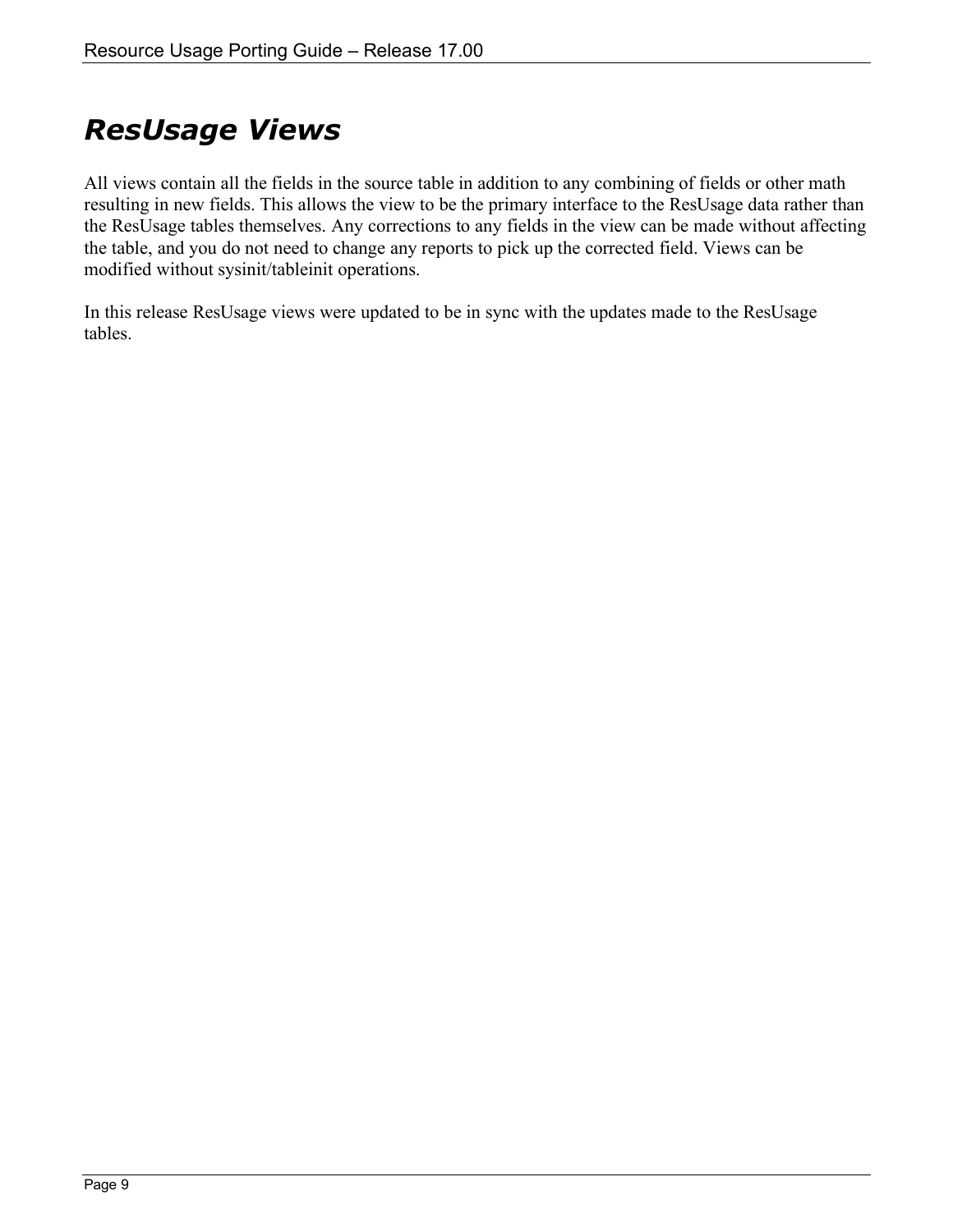### <span id="page-8-0"></span>*ResUsage Views*

All views contain all the fields in the source table in addition to any combining of fields or other math resulting in new fields. This allows the view to be the primary interface to the ResUsage data rather than the ResUsage tables themselves. Any corrections to any fields in the view can be made without affecting the table, and you do not need to change any reports to pick up the corrected field. Views can be modified without sysinit/tableinit operations.

In this release ResUsage views were updated to be in sync with the updates made to the ResUsage tables.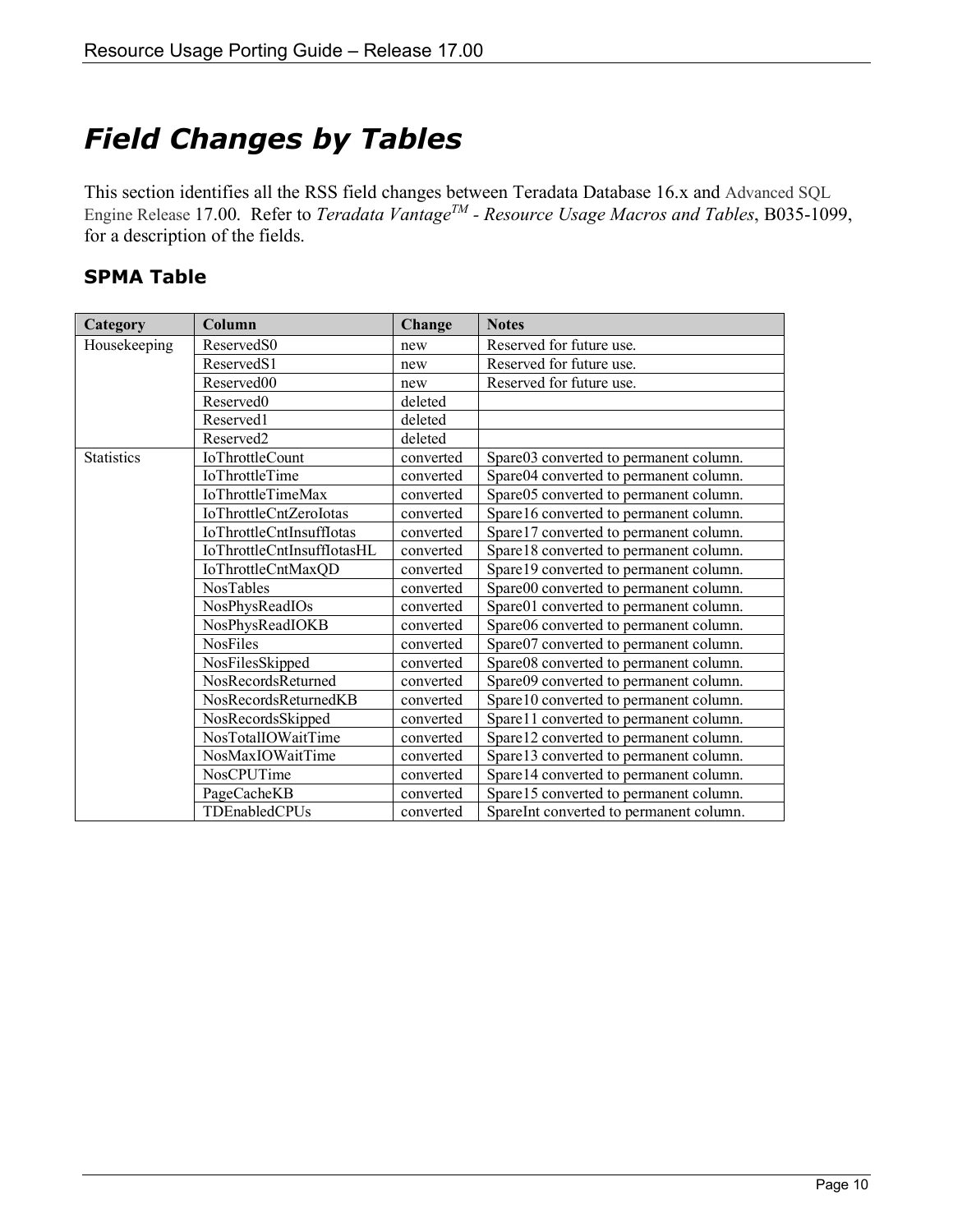## <span id="page-9-0"></span>*Field Changes by Tables*

This section identifies all the RSS field changes between Teradata Database 16.x and Advanced SQL Engine Release 17.00. Refer to *Teradata VantageTM - Resource Usage Macros and Tables*, B035-1099, for a description of the fields.

#### <span id="page-9-1"></span>**SPMA Table**

| Category          | Column                          | Change    | <b>Notes</b>                            |
|-------------------|---------------------------------|-----------|-----------------------------------------|
| Housekeeping      | ReservedS0                      | new       | Reserved for future use.                |
|                   | ReservedS1                      | new       | Reserved for future use.                |
|                   | Reserved00                      | new       | Reserved for future use.                |
|                   | Reserved <sub>0</sub>           | deleted   |                                         |
|                   | Reserved1                       | deleted   |                                         |
|                   | Reserved <sub>2</sub>           | deleted   |                                         |
| <b>Statistics</b> | <b>IoThrottleCount</b>          | converted | Spare03 converted to permanent column.  |
|                   | IoThrottleTime                  | converted | Spare04 converted to permanent column.  |
|                   | <b>IoThrottleTimeMax</b>        | converted | Spare05 converted to permanent column.  |
|                   | IoThrottleCntZeroIotas          | converted | Spare16 converted to permanent column.  |
|                   | <b>IoThrottleCntInsuffIotas</b> | converted | Spare17 converted to permanent column.  |
|                   | IoThrottleCntInsuffIotasHL      | converted | Spare18 converted to permanent column.  |
|                   | IoThrottleCntMaxQD              | converted | Spare19 converted to permanent column.  |
|                   | <b>NosTables</b>                | converted | Spare00 converted to permanent column.  |
|                   | NosPhysReadIOs                  | converted | Spare01 converted to permanent column.  |
|                   | NosPhysReadIOKB                 | converted | Spare06 converted to permanent column.  |
|                   | <b>NosFiles</b>                 | converted | Spare07 converted to permanent column.  |
|                   | NosFilesSkipped                 | converted | Spare08 converted to permanent column.  |
|                   | NosRecordsReturned              | converted | Spare09 converted to permanent column.  |
|                   | NosRecordsReturnedKB            | converted | Spare10 converted to permanent column.  |
|                   | NosRecordsSkipped               | converted | Spare11 converted to permanent column.  |
|                   | NosTotalIOWaitTime              | converted | Spare12 converted to permanent column.  |
|                   | NosMaxIOWaitTime                | converted | Spare13 converted to permanent column.  |
|                   | NosCPUTime                      | converted | Spare14 converted to permanent column.  |
|                   | PageCacheKB                     | converted | Spare15 converted to permanent column.  |
|                   | TDEnabledCPUs                   | converted | SpareInt converted to permanent column. |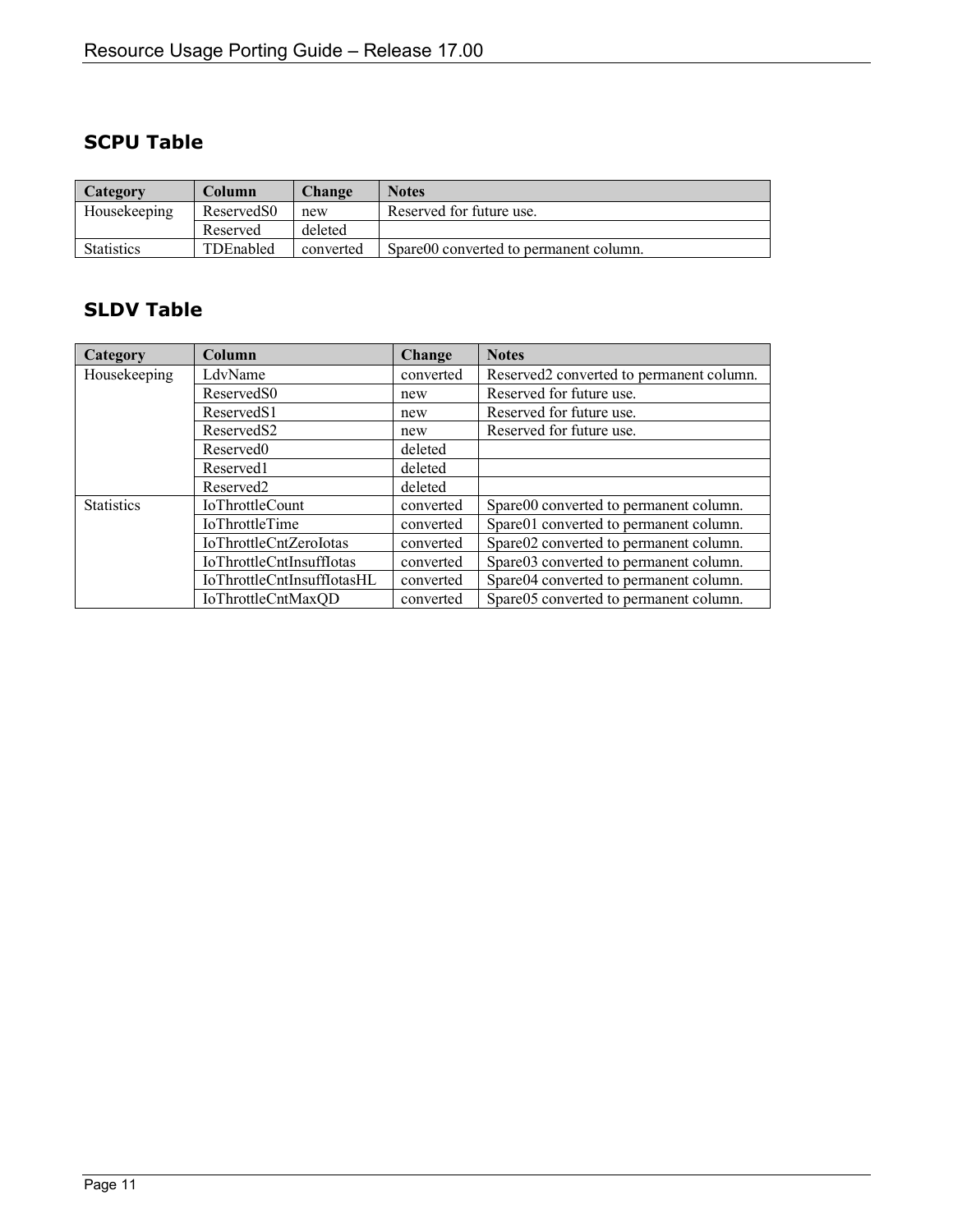#### <span id="page-10-0"></span>**SCPU Table**

| Category          | Column                 | <b>Change</b>                   | <b>Notes</b>                           |
|-------------------|------------------------|---------------------------------|----------------------------------------|
| Housekeeping      | Reserved <sub>S0</sub> | Reserved for future use.<br>new |                                        |
|                   | Reserved               | deleted                         |                                        |
| <b>Statistics</b> | TDEnabled              | converted                       | Spare00 converted to permanent column. |

#### <span id="page-10-1"></span>**SLDV Table**

| Category          | Column                     | Change    | <b>Notes</b>                             |
|-------------------|----------------------------|-----------|------------------------------------------|
| Housekeeping      | LdvName                    | converted | Reserved2 converted to permanent column. |
|                   | Reserved <sub>S0</sub>     | new       | Reserved for future use.                 |
|                   | Reserved <sub>S1</sub>     | new       | Reserved for future use.                 |
|                   | Reserved <sub>S2</sub>     | new       | Reserved for future use.                 |
|                   | Reserved <sub>0</sub>      | deleted   |                                          |
|                   | Reserved1                  | deleted   |                                          |
|                   | Reserved <sub>2</sub>      | deleted   |                                          |
| <b>Statistics</b> | <b>IoThrottleCount</b>     | converted | Spare00 converted to permanent column.   |
|                   | <b>IoThrottleTime</b>      | converted | Spare01 converted to permanent column.   |
|                   | IoThrottleCntZeroIotas     | converted | Spare02 converted to permanent column.   |
|                   | IoThrottleCntInsuffIotas   | converted | Spare03 converted to permanent column.   |
|                   | IoThrottleCntInsuffIotasHL | converted | Spare04 converted to permanent column.   |
|                   | IoThrottleCntMaxQD         | converted | Spare05 converted to permanent column.   |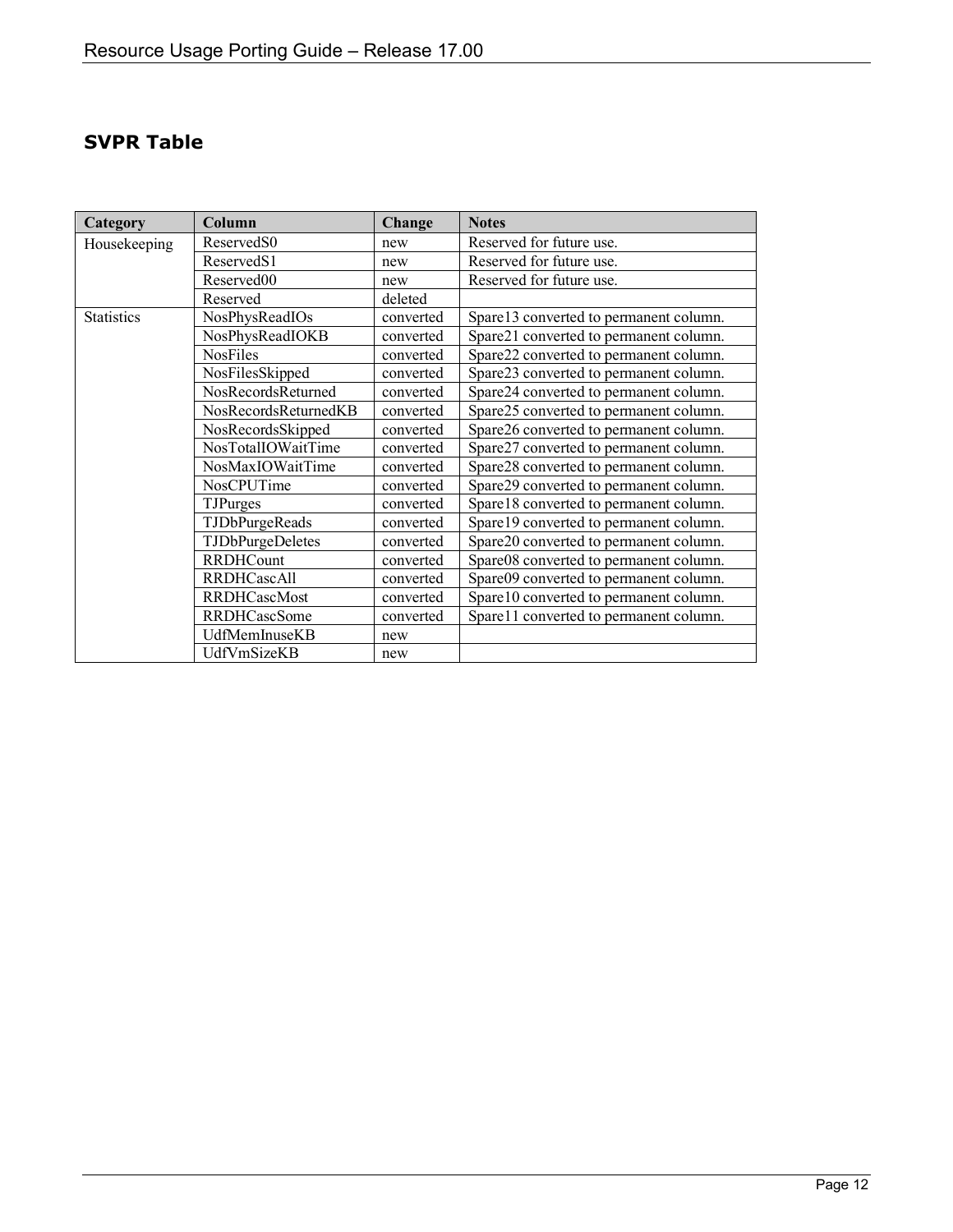#### <span id="page-11-0"></span>**SVPR Table**

| Category          | Column                  | Change    | <b>Notes</b>                           |
|-------------------|-------------------------|-----------|----------------------------------------|
| Housekeeping      | ReservedS0              | new       | Reserved for future use.               |
|                   | ReservedS1              | new       | Reserved for future use.               |
|                   | Reserved00              | new       | Reserved for future use.               |
|                   | Reserved                | deleted   |                                        |
| <b>Statistics</b> | NosPhysReadIOs          | converted | Spare13 converted to permanent column. |
|                   | NosPhysReadIOKB         | converted | Spare21 converted to permanent column. |
|                   | NosFiles                | converted | Spare22 converted to permanent column. |
|                   | NosFilesSkipped         | converted | Spare23 converted to permanent column. |
|                   | NosRecordsReturned      | converted | Spare24 converted to permanent column. |
|                   | NosRecordsReturnedKB    | converted | Spare25 converted to permanent column. |
|                   | NosRecordsSkipped       | converted | Spare26 converted to permanent column. |
|                   | NosTotalIOWaitTime      | converted | Spare27 converted to permanent column. |
|                   | NosMaxIOWaitTime        | converted | Spare28 converted to permanent column. |
|                   | NosCPUTime              | converted | Spare29 converted to permanent column. |
|                   | <b>TJPurges</b>         | converted | Spare18 converted to permanent column. |
|                   | TJDbPurgeReads          | converted | Spare19 converted to permanent column. |
|                   | <b>TJDbPurgeDeletes</b> | converted | Spare20 converted to permanent column. |
|                   | <b>RRDHCount</b>        | converted | Spare08 converted to permanent column. |
|                   | <b>RRDHCascAll</b>      | converted | Spare09 converted to permanent column. |
|                   | <b>RRDHCascMost</b>     | converted | Spare10 converted to permanent column. |
|                   | <b>RRDHCascSome</b>     | converted | Spare11 converted to permanent column. |
|                   | UdfMemInuseKB           | new       |                                        |
|                   | UdfVmSizeKB             | new       |                                        |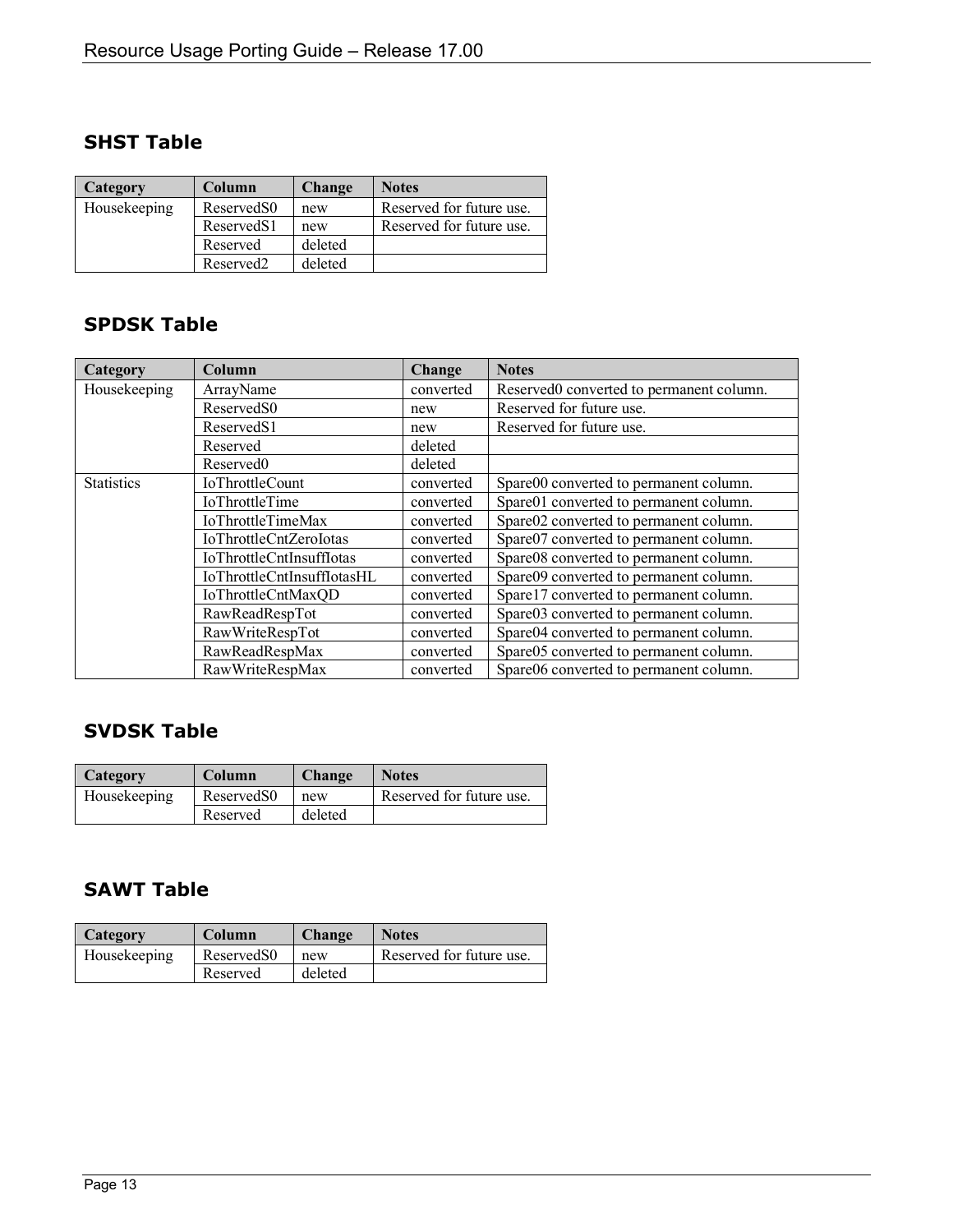#### <span id="page-12-0"></span>**SHST Table**

| <b>Category</b> | Column                 | <b>Change</b> | <b>Notes</b>             |
|-----------------|------------------------|---------------|--------------------------|
| Housekeeping    | Reserved <sub>S0</sub> | new           | Reserved for future use. |
|                 | Reserved <sub>S1</sub> | new           | Reserved for future use. |
|                 | Reserved               | deleted       |                          |
|                 | Reserved <sub>2</sub>  | deleted       |                          |

#### <span id="page-12-1"></span>**SPDSK Table**

| <b>Category</b>   | Column                          | Change    | <b>Notes</b>                             |
|-------------------|---------------------------------|-----------|------------------------------------------|
| Housekeeping      | ArrayName                       | converted | Reserved0 converted to permanent column. |
|                   | ReservedS0                      | new       | Reserved for future use.                 |
|                   | ReservedS1                      | new       | Reserved for future use.                 |
|                   | Reserved                        | deleted   |                                          |
|                   | Reserved <sub>0</sub>           | deleted   |                                          |
| <b>Statistics</b> | <b>IoThrottleCount</b>          | converted | Spare00 converted to permanent column.   |
|                   | <b>IoThrottleTime</b>           | converted | Spare01 converted to permanent column.   |
|                   | <b>IoThrottleTimeMax</b>        | converted | Spare02 converted to permanent column.   |
|                   | IoThrottleCntZeroIotas          | converted | Spare07 converted to permanent column.   |
|                   | <b>IoThrottleCntInsuffIotas</b> | converted | Spare08 converted to permanent column.   |
|                   | IoThrottleCntInsuffIotasHL      | converted | Spare09 converted to permanent column.   |
|                   | IoThrottleCntMaxQD              | converted | Spare17 converted to permanent column.   |
|                   | RawReadRespTot                  | converted | Spare03 converted to permanent column.   |
|                   | RawWriteRespTot                 | converted | Spare04 converted to permanent column.   |
|                   | RawReadRespMax                  | converted | Spare05 converted to permanent column.   |
|                   | RawWriteRespMax                 | converted | Spare06 converted to permanent column.   |

#### <span id="page-12-2"></span>**SVDSK Table**

| Category     | Column                 | <b>Change</b> | <b>Notes</b>             |
|--------------|------------------------|---------------|--------------------------|
| Housekeeping | Reserved <sub>S0</sub> | new           | Reserved for future use. |
|              | Reserved               | deleted       |                          |

#### <span id="page-12-3"></span>**SAWT Table**

| Category     | Column                 | <b>Change</b> | <b>Notes</b>             |
|--------------|------------------------|---------------|--------------------------|
| Housekeeping | Reserved <sub>S0</sub> | new           | Reserved for future use. |
|              | Reserved               | deleted       |                          |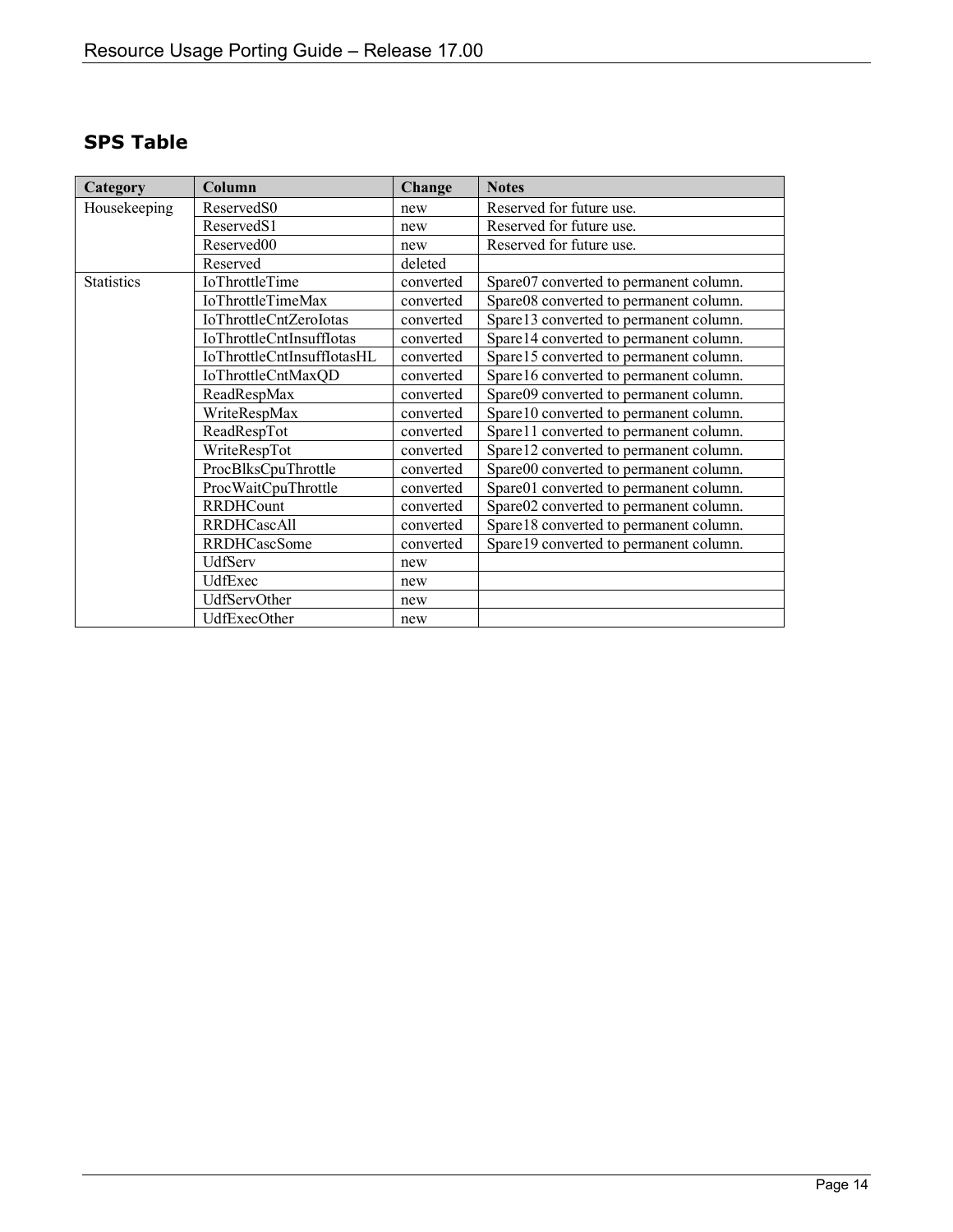<span id="page-13-0"></span>

| Category          | Column                          | Change    | <b>Notes</b>                           |
|-------------------|---------------------------------|-----------|----------------------------------------|
| Housekeeping      | Reserved <sub>S0</sub>          | new       | Reserved for future use.               |
|                   | ReservedS1                      | new       | Reserved for future use.               |
|                   | Reserved00                      | new       | Reserved for future use.               |
|                   | Reserved                        | deleted   |                                        |
| <b>Statistics</b> | <b>IoThrottleTime</b>           | converted | Spare07 converted to permanent column. |
|                   | <b>IoThrottleTimeMax</b>        | converted | Spare08 converted to permanent column. |
|                   | IoThrottleCntZeroIotas          | converted | Spare13 converted to permanent column. |
|                   | <b>IoThrottleCntInsuffIotas</b> | converted | Spare14 converted to permanent column. |
|                   | IoThrottleCntInsuffIotasHL      | converted | Spare15 converted to permanent column. |
|                   | IoThrottleCntMaxQD              | converted | Spare16 converted to permanent column. |
|                   | ReadRespMax                     | converted | Spare09 converted to permanent column. |
|                   | WriteRespMax                    | converted | Spare10 converted to permanent column. |
|                   | ReadRespTot                     | converted | Spare11 converted to permanent column. |
|                   | WriteRespTot                    | converted | Spare12 converted to permanent column. |
|                   | ProcBlksCpuThrottle             | converted | Spare00 converted to permanent column. |
|                   | ProcWaitCpuThrottle             | converted | Spare01 converted to permanent column. |
|                   | <b>RRDHCount</b>                | converted | Spare02 converted to permanent column. |
|                   | <b>RRDHCascAll</b>              | converted | Spare18 converted to permanent column. |
|                   | <b>RRDHCascSome</b>             | converted | Spare19 converted to permanent column. |
|                   | UdfServ                         | new       |                                        |
|                   | UdfExec                         | new       |                                        |
|                   | UdfServOther                    | new       |                                        |
|                   | UdfExecOther                    | new       |                                        |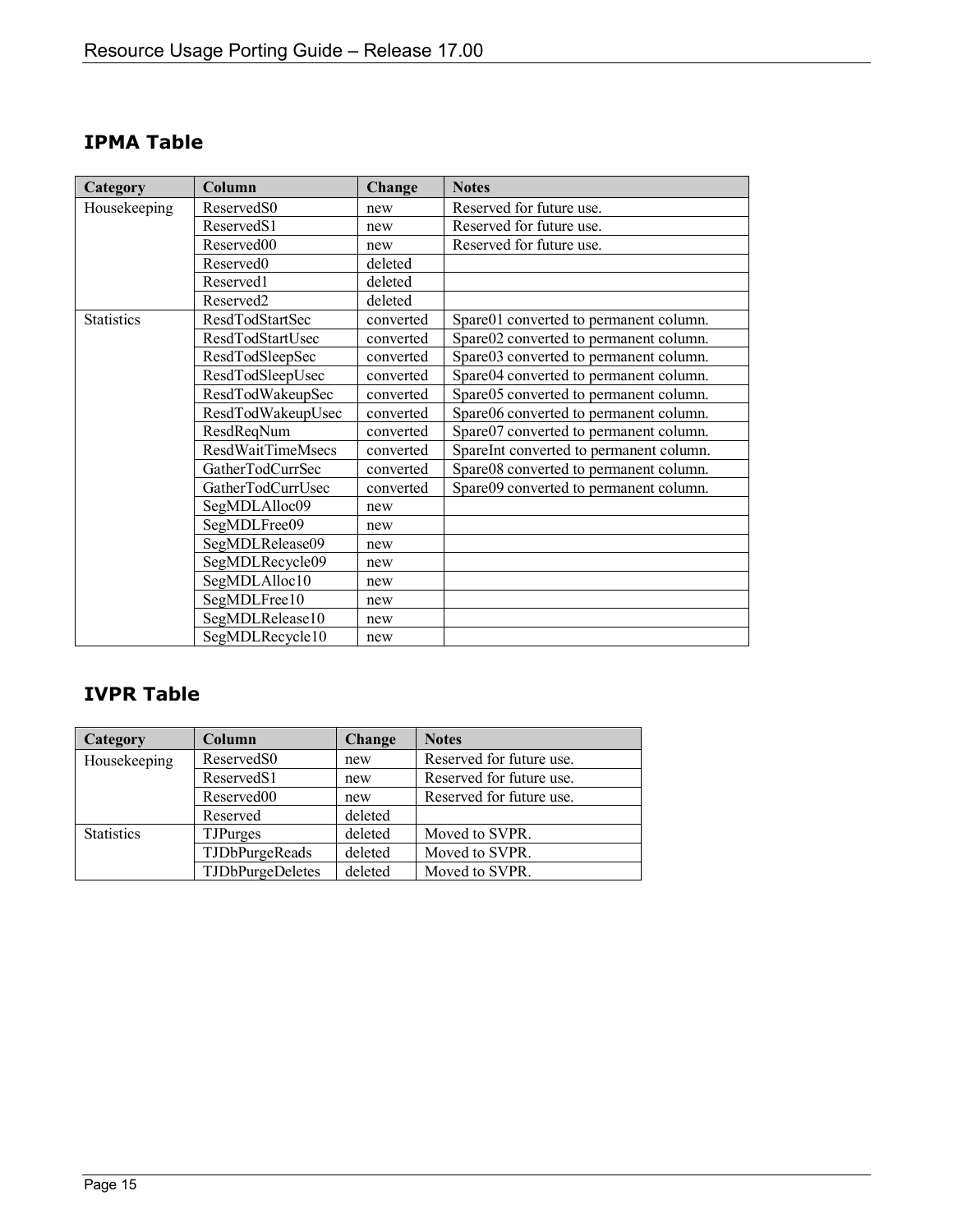| Category          | Column                   | Change    | <b>Notes</b>                            |
|-------------------|--------------------------|-----------|-----------------------------------------|
| Housekeeping      | Reserved <sub>S0</sub>   | new       | Reserved for future use.                |
|                   | ReservedS1               | new       | Reserved for future use.                |
|                   | Reserved00               | new       | Reserved for future use.                |
|                   | Reserved <sub>0</sub>    | deleted   |                                         |
|                   | Reserved1                | deleted   |                                         |
|                   | Reserved2                | deleted   |                                         |
| <b>Statistics</b> | ResdTodStartSec          | converted | Spare01 converted to permanent column.  |
|                   | ResdTodStartUsec         | converted | Spare02 converted to permanent column.  |
|                   | ResdTodSleepSec          | converted | Spare03 converted to permanent column.  |
|                   | ResdTodSleepUsec         | converted | Spare04 converted to permanent column.  |
|                   | ResdTodWakeupSec         | converted | Spare05 converted to permanent column.  |
|                   | ResdTodWakeupUsec        | converted | Spare06 converted to permanent column.  |
|                   | ResdReqNum               | converted | Spare07 converted to permanent column.  |
|                   | <b>ResdWaitTimeMsecs</b> | converted | SpareInt converted to permanent column. |
|                   | GatherTodCurrSec         | converted | Spare08 converted to permanent column.  |
|                   | GatherTodCurrUsec        | converted | Spare09 converted to permanent column.  |
|                   | SegMDLAlloc09            | new       |                                         |
|                   | SegMDLFree09             | new       |                                         |
|                   | SegMDLRelease09          | new       |                                         |
|                   | SegMDLRecycle09          | new       |                                         |
|                   | SegMDLAlloc10            | new       |                                         |
|                   | SegMDLFree10             | new       |                                         |
|                   | SegMDLRelease10          | new       |                                         |
|                   | SegMDLRecycle10          | new       |                                         |

#### <span id="page-14-0"></span>**IPMA Table**

#### <span id="page-14-1"></span>**IVPR Table**

| Category          | Column                  | Change  | <b>Notes</b>             |
|-------------------|-------------------------|---------|--------------------------|
| Housekeeping      | Reserved <sub>S0</sub>  | new     | Reserved for future use. |
|                   | Reserved <sub>S1</sub>  | new     | Reserved for future use. |
|                   | Reserved00              | new     | Reserved for future use. |
|                   | Reserved                | deleted |                          |
| <b>Statistics</b> | <b>TJPurges</b>         | deleted | Moved to SVPR.           |
|                   | TJDbPurgeReads          | deleted | Moved to SVPR.           |
|                   | <b>TJDbPurgeDeletes</b> | deleted | Moved to SVPR.           |